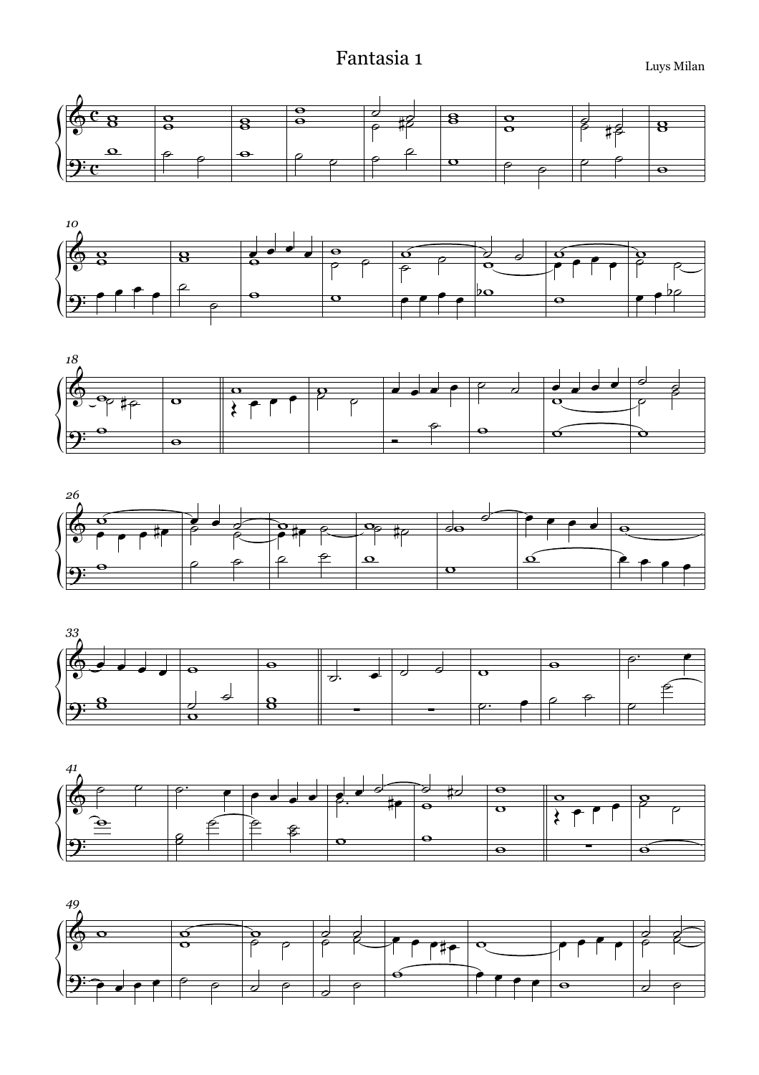## Fantasia 1 Luys Milan